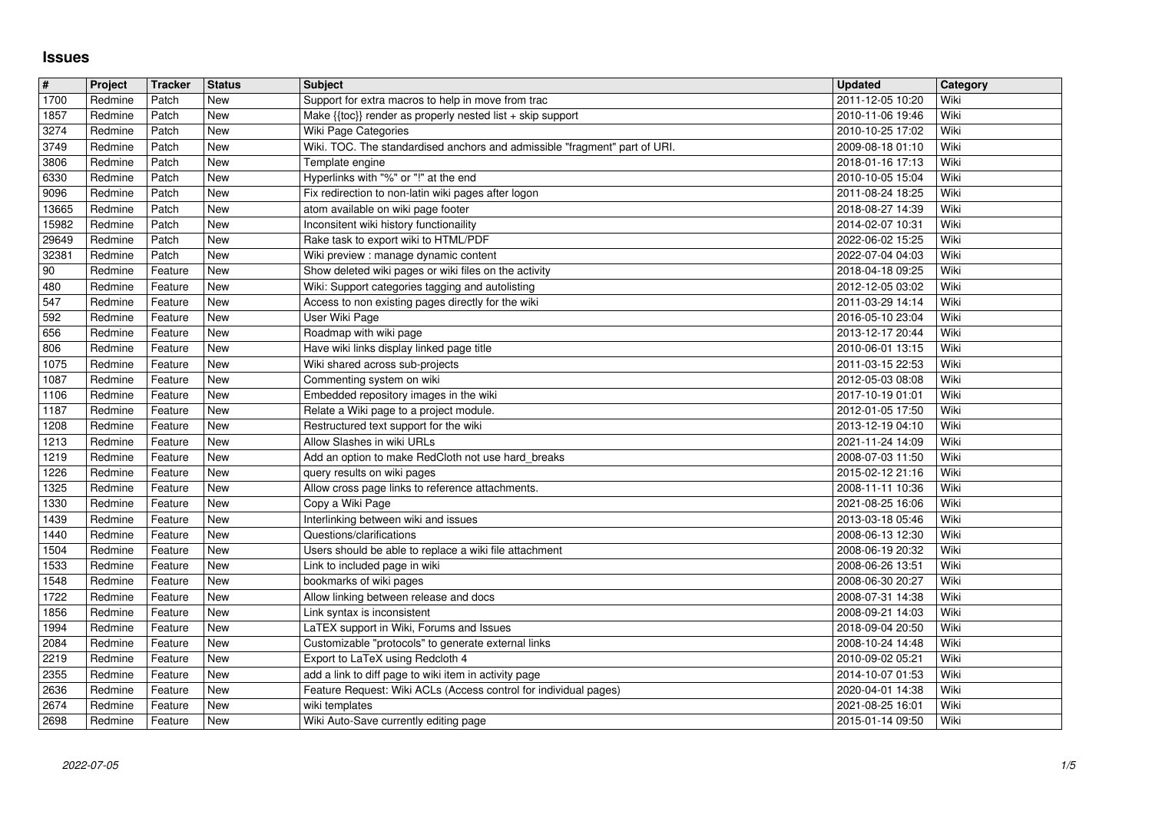## **Issues**

| $\#$           | Project            | <b>Tracker</b>     | <b>Status</b>            | <b>Subject</b>                                                                                                   | <b>Updated</b>                       | Category     |
|----------------|--------------------|--------------------|--------------------------|------------------------------------------------------------------------------------------------------------------|--------------------------------------|--------------|
| 1700<br>1857   | Redmine<br>Redmine | Patch<br>Patch     | <b>New</b><br>New        | Support for extra macros to help in move from trac<br>Make {{toc}} render as properly nested list + skip support | 2011-12-05 10:20<br>2010-11-06 19:46 | Wiki<br>Wiki |
| 3274           | Redmine            | Patch              | New                      | Wiki Page Categories                                                                                             | 2010-10-25 17:02                     | Wiki         |
| 3749           | Redmine            | Patch              | New                      | Wiki. TOC. The standardised anchors and admissible "fragment" part of URI.                                       | 2009-08-18 01:10                     | Wiki         |
| 3806<br>6330   | Redmine<br>Redmine | Patch<br>Patch     | New<br>New               | Template engine<br>Hyperlinks with "%" or "!" at the end                                                         | 2018-01-16 17:13<br>2010-10-05 15:04 | Wiki<br>Wiki |
| 9096           | Redmine            | Patch              | New                      | Fix redirection to non-latin wiki pages after logon                                                              | 2011-08-24 18:25                     | Wiki         |
| 13665          | Redmine            | Patch              | <b>New</b>               | atom available on wiki page footer                                                                               | 2018-08-27 14:39                     | Wiki         |
| 15982<br>29649 | Redmine<br>Redmine | Patch<br>Patch     | <b>New</b><br>New        | Inconsitent wiki history functionaility<br>Rake task to export wiki to HTML/PDF                                  | 2014-02-07 10:31<br>2022-06-02 15:25 | Wiki<br>Wiki |
| 32381          | Redmine            | Patch              | New                      | Wiki preview : manage dynamic content                                                                            | 2022-07-04 04:03                     | Wiki         |
| $90\,$         | Redmine            | Feature            | New                      | Show deleted wiki pages or wiki files on the activity                                                            | 2018-04-18 09:25                     | Wiki         |
| 480<br>547     | Redmine<br>Redmine | Feature<br>Feature | New<br>New               | Wiki: Support categories tagging and autolisting<br>Access to non existing pages directly for the wiki           | 2012-12-05 03:02<br>2011-03-29 14:14 | Wiki<br>Wiki |
| 592            | Redmine            | Feature            | New                      | User Wiki Page                                                                                                   | 2016-05-10 23:04                     | Wiki         |
| 656            | Redmine            | Feature            | New                      | Roadmap with wiki page                                                                                           | 2013-12-17 20:44                     | Wiki         |
| 806<br>1075    | Redmine<br>Redmine | Feature<br>Feature | <b>New</b><br>New        | Have wiki links display linked page title<br>Wiki shared across sub-projects                                     | 2010-06-01 13:15<br>2011-03-15 22:53 | Wiki<br>Wiki |
| 1087           | Redmine            | Feature            | <b>New</b>               | Commenting system on wiki                                                                                        | 2012-05-03 08:08                     | Wiki         |
| 1106           | Redmine            | Feature            | <b>New</b><br>New        | Embedded repository images in the wiki                                                                           | 2017-10-19 01:01                     | Wiki<br>Wiki |
| 1187<br>1208   | Redmine<br>Redmine | Feature<br>Feature | New                      | Relate a Wiki page to a project module.<br>Restructured text support for the wiki                                | 2012-01-05 17:50<br>2013-12-19 04:10 | Wiki         |
| 1213           | Redmine            | Feature            | New                      | Allow Slashes in wiki URLs                                                                                       | 2021-11-24 14:09                     | Wiki         |
| 1219<br>1226   | Redmine<br>Redmine | Feature<br>Feature | New<br>New               | Add an option to make RedCloth not use hard_breaks<br>query results on wiki pages                                | 2008-07-03 11:50<br>2015-02-12 21:16 | Wiki<br>Wiki |
| 1325           | Redmine            | Feature            | <b>New</b>               | Allow cross page links to reference attachments.                                                                 | 2008-11-11 10:36                     | Wiki         |
| 1330           | Redmine            | Feature            | <b>New</b>               | Copy a Wiki Page                                                                                                 | 2021-08-25 16:06                     | Wiki         |
| 1439<br>1440   | Redmine<br>Redmine | Feature<br>Feature | <b>New</b><br><b>New</b> | Interlinking between wiki and issues<br>Questions/clarifications                                                 | 2013-03-18 05:46<br>2008-06-13 12:30 | Wiki<br>Wiki |
| 1504           | Redmine            | Feature            | <b>New</b>               | Users should be able to replace a wiki file attachment                                                           | 2008-06-19 20:32                     | Wiki         |
| 1533           | Redmine            | Feature            | New                      | Link to included page in wiki                                                                                    | 2008-06-26 13:51                     | Wiki         |
| 1548<br>1722   | Redmine<br>Redmine | Feature<br>Feature | New<br>New               | bookmarks of wiki pages<br>Allow linking between release and docs                                                | 2008-06-30 20:27<br>2008-07-31 14:38 | Wiki<br>Wiki |
| 1856           | Redmine            | Feature            | New                      | Link syntax is inconsistent                                                                                      | 2008-09-21 14:03                     | Wiki         |
| 1994           | Redmine            | Feature            | New                      | LaTEX support in Wiki, Forums and Issues                                                                         | 2018-09-04 20:50                     | Wiki         |
| 2084<br>2219   | Redmine<br>Redmine | Feature<br>Feature | New<br><b>New</b>        | Customizable "protocols" to generate external links<br>Export to LaTeX using Redcloth 4                          | 2008-10-24 14:48<br>2010-09-02 05:21 | Wiki<br>Wiki |
| 2355           | Redmine            | Feature            | New                      | add a link to diff page to wiki item in activity page                                                            | 2014-10-07 01:53                     | Wiki         |
| 2636           | Redmine            | Feature            | New                      | Feature Request: Wiki ACLs (Access control for individual pages)                                                 | 2020-04-01 14:38                     | Wiki         |
| 2674<br>2698   | Redmine<br>Redmine | Feature<br>Feature | <b>New</b><br>New        | wiki templates<br>Wiki Auto-Save currently editing page                                                          | 2021-08-25 16:01<br>2015-01-14 09:50 | Wiki<br>Wiki |
|                |                    |                    |                          |                                                                                                                  |                                      |              |
|                |                    |                    |                          |                                                                                                                  |                                      |              |
|                |                    |                    |                          |                                                                                                                  |                                      |              |
|                |                    |                    |                          |                                                                                                                  |                                      |              |
|                |                    |                    |                          |                                                                                                                  |                                      |              |
|                |                    |                    |                          |                                                                                                                  |                                      |              |
|                |                    |                    |                          |                                                                                                                  |                                      |              |
|                |                    |                    |                          |                                                                                                                  |                                      |              |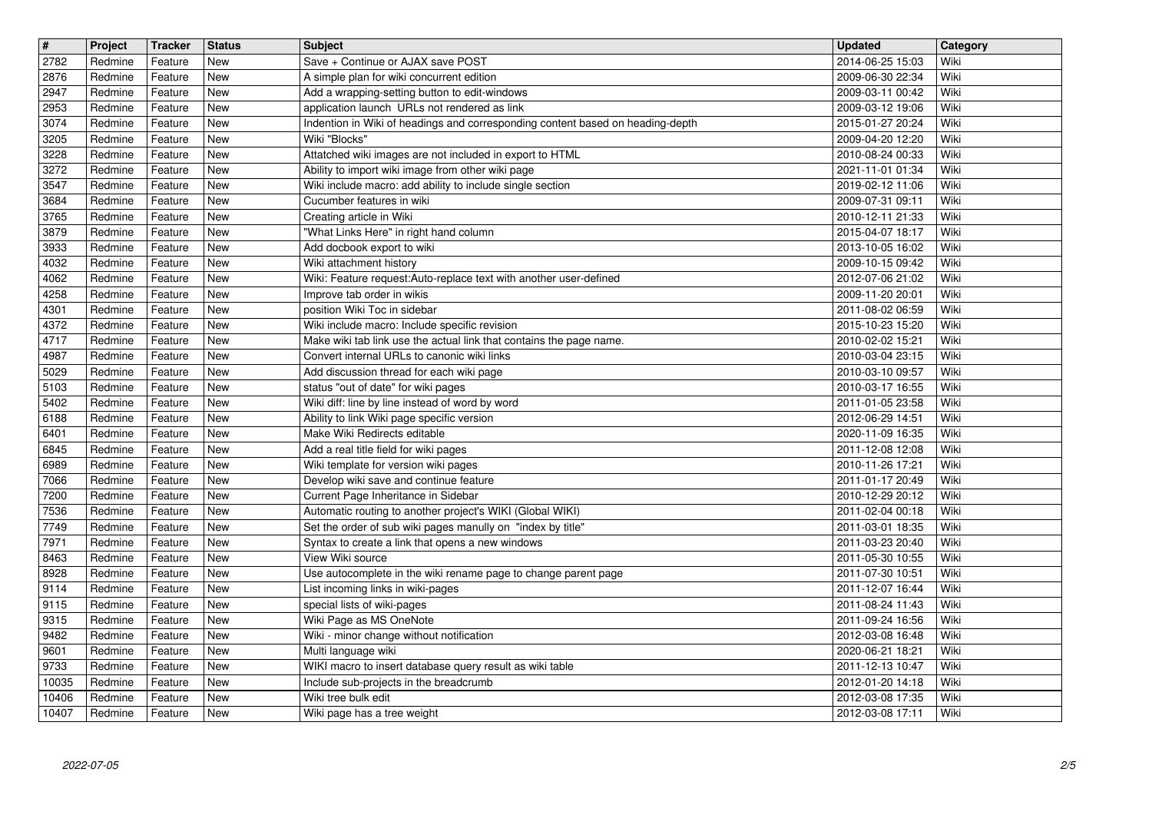| 2782  | Project | <b>Tracker</b> | <b>Status</b>                | <b>Subject</b>                                                                 | <b>Updated</b>   | Category |
|-------|---------|----------------|------------------------------|--------------------------------------------------------------------------------|------------------|----------|
|       | Redmine | Feature        | <b>New</b>                   | Save + Continue or AJAX save POST                                              | 2014-06-25 15:03 | Wiki     |
| 2876  | Redmine | Feature        | <b>New</b>                   | A simple plan for wiki concurrent edition                                      | 2009-06-30 22:34 | Wiki     |
| 2947  | Redmine | Feature        | <b>New</b>                   | Add a wrapping-setting button to edit-windows                                  | 2009-03-11 00:42 | Wiki     |
| 2953  | Redmine | Feature        | <b>New</b>                   | application launch URLs not rendered as link                                   | 2009-03-12 19:06 | Wiki     |
| 3074  | Redmine | Feature        | <b>New</b>                   | Indention in Wiki of headings and corresponding content based on heading-depth | 2015-01-27 20:24 | Wiki     |
| 3205  | Redmine | Feature        | <b>New</b>                   | Wiki "Blocks"                                                                  | 2009-04-20 12:20 | Wiki     |
| 3228  | Redmine | Feature        | <b>New</b>                   | Attatched wiki images are not included in export to HTML                       | 2010-08-24 00:33 | Wiki     |
| 3272  | Redmine | Feature        | New                          | Ability to import wiki image from other wiki page                              | 2021-11-01 01:34 | Wiki     |
| 3547  | Redmine | Feature        | <b>New</b>                   | Wiki include macro: add ability to include single section                      | 2019-02-12 11:06 | Wiki     |
| 3684  | Redmine | Feature        | New                          | Cucumber features in wiki                                                      | 2009-07-31 09:11 | Wiki     |
| 3765  | Redmine | Feature        | <b>New</b>                   | Creating article in Wiki                                                       | 2010-12-11 21:33 | Wiki     |
| 3879  | Redmine | Feature        | <b>New</b>                   | "What Links Here" in right hand column                                         | 2015-04-07 18:17 | Wiki     |
| 3933  | Redmine | Feature        | <b>New</b>                   | Add docbook export to wiki                                                     | 2013-10-05 16:02 | Wiki     |
| 4032  | Redmine | Feature        | <b>New</b>                   | Wiki attachment history                                                        | 2009-10-15 09:42 | Wiki     |
| 4062  | Redmine | Feature        | <b>New</b>                   | Wiki: Feature request:Auto-replace text with another user-defined              | 2012-07-06 21:02 | Wiki     |
| 4258  | Redmine | Feature        | <b>New</b>                   | Improve tab order in wikis                                                     | 2009-11-20 20:01 | Wiki     |
| 4301  | Redmine | Feature        | New                          | position Wiki Toc in sidebar                                                   | 2011-08-02 06:59 | Wiki     |
| 4372  | Redmine | Feature        | <b>New</b>                   | Wiki include macro: Include specific revision                                  | 2015-10-23 15:20 | Wiki     |
| 4717  | Redmine | Feature        | New                          | Make wiki tab link use the actual link that contains the page name.            | 2010-02-02 15:21 | Wiki     |
| 4987  | Redmine | Feature        | <b>New</b>                   | Convert internal URLs to canonic wiki links                                    | 2010-03-04 23:15 | Wiki     |
| 5029  | Redmine | Feature        | <b>New</b>                   | Add discussion thread for each wiki page                                       | 2010-03-10 09:57 | Wiki     |
| 5103  | Redmine | Feature        | <b>New</b>                   | status "out of date" for wiki pages                                            | 2010-03-17 16:55 | Wiki     |
| 5402  | Redmine | Feature        | <b>New</b>                   | Wiki diff: line by line instead of word by word                                | 2011-01-05 23:58 | Wiki     |
| 6188  | Redmine | Feature        | <b>New</b>                   | Ability to link Wiki page specific version                                     | 2012-06-29 14:51 | Wiki     |
| 6401  | Redmine | Feature        | New                          | Make Wiki Redirects editable                                                   | 2020-11-09 16:35 | Wiki     |
| 6845  | Redmine | Feature        | New                          | Add a real title field for wiki pages                                          | 2011-12-08 12:08 | Wiki     |
| 6989  | Redmine | Feature        | <b>New</b>                   | Wiki template for version wiki pages                                           | 2010-11-26 17:21 | Wiki     |
| 7066  | Redmine | Feature        | <b>New</b>                   | Develop wiki save and continue feature                                         | 2011-01-17 20:49 | Wiki     |
| 7200  | Redmine | Feature        | <b>New</b>                   | Current Page Inheritance in Sidebar                                            | 2010-12-29 20:12 | Wiki     |
| 7536  | Redmine | Feature        | <b>New</b>                   | Automatic routing to another project's WIKI (Global WIKI)                      | 2011-02-04 00:18 | Wiki     |
| 7749  | Redmine | Feature        | <b>New</b>                   | Set the order of sub wiki pages manully on "index by title"                    | 2011-03-01 18:35 | Wiki     |
| 7971  | Redmine | Feature        | <b>New</b>                   | Syntax to create a link that opens a new windows                               | 2011-03-23 20:40 | Wiki     |
| 8463  | Redmine | Feature        | <b>New</b>                   | View Wiki source                                                               | 2011-05-30 10:55 | Wiki     |
| 8928  | Redmine | Feature        | <b>New</b>                   | Use autocomplete in the wiki rename page to change parent page                 | 2011-07-30 10:51 | Wiki     |
| 9114  | Redmine | Feature        | New                          | List incoming links in wiki-pages                                              | 2011-12-07 16:44 | Wiki     |
| 9115  | Redmine | Feature        | New                          | special lists of wiki-pages                                                    | 2011-08-24 11:43 | Wiki     |
| 9315  | Redmine | Feature        | <b>New</b>                   | Wiki Page as MS OneNote                                                        | 2011-09-24 16:56 | Wiki     |
| 9482  | Redmine | Feature        | <b>New</b>                   | Wiki - minor change without notification                                       | 2012-03-08 16:48 | Wiki     |
| 9601  | Redmine | Feature        | $\overline{\phantom{a}}$ New | Multi language wiki                                                            | 2020-06-21 18:21 | Wiki     |
| 9733  | Redmine | Feature        | <b>New</b>                   | WIKI macro to insert database query result as wiki table                       | 2011-12-13 10:47 | Wiki     |
| 10035 | Redmine | Feature        | <b>New</b>                   | Include sub-projects in the breadcrumb                                         | 2012-01-20 14:18 | Wiki     |
| 10406 | Redmine | Feature        | New                          | Wiki tree bulk edit                                                            | 2012-03-08 17:35 | Wiki     |
| 10407 | Redmine | Feature        | New                          | Wiki page has a tree weight                                                    | 2012-03-08 17:11 | Wiki     |
|       |         |                |                              |                                                                                |                  |          |
|       |         |                |                              |                                                                                |                  |          |
|       |         |                |                              |                                                                                |                  |          |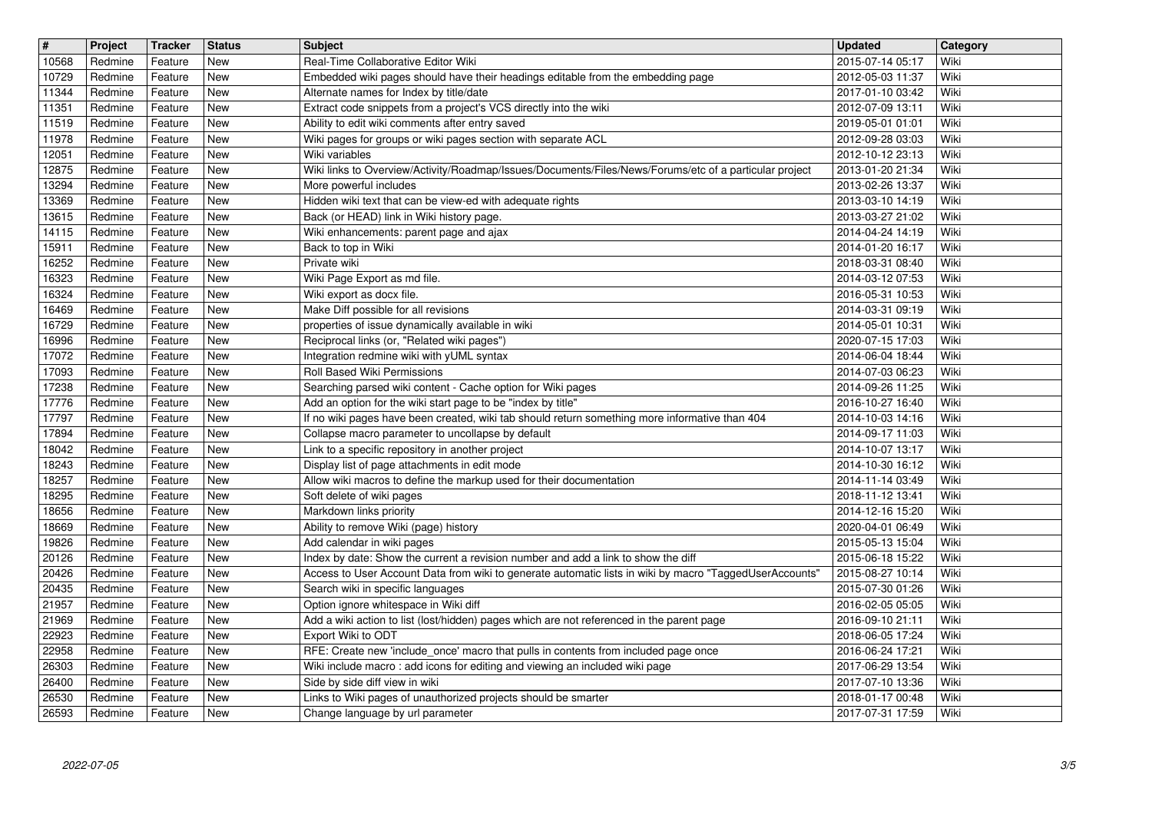| $\sqrt{\frac{4}{15}}$ | Project            | <b>Tracker</b>     | <b>Status</b> | <b>Subject</b>                                                                                                                                                 | <b>Updated</b>                       | Category     |
|-----------------------|--------------------|--------------------|---------------|----------------------------------------------------------------------------------------------------------------------------------------------------------------|--------------------------------------|--------------|
| 10568                 | Redmine            | Feature            | New           | Real-Time Collaborative Editor Wiki                                                                                                                            | 2015-07-14 05:17                     | Wiki         |
| 10729<br>11344        | Redmine<br>Redmine | Feature<br>Feature | New<br>New    | Embedded wiki pages should have their headings editable from the embedding page<br>Alternate names for Index by title/date                                     | 2012-05-03 11:37<br>2017-01-10 03:42 | Wiki<br>Wiki |
| 11351                 | Redmine            | Feature            | New           | Extract code snippets from a project's VCS directly into the wiki                                                                                              | 2012-07-09 13:11                     | Wiki         |
| 11519                 | Redmine            | Feature            | New           | Ability to edit wiki comments after entry saved                                                                                                                | 2019-05-01 01:01                     | Wiki         |
| 11978                 | Redmine            | Feature            | New           | Wiki pages for groups or wiki pages section with separate ACL                                                                                                  | 2012-09-28 03:03                     | Wiki         |
| 12051<br>12875        | Redmine<br>Redmine | Feature            | New<br>New    | Wiki variables<br>Wiki links to Overview/Activity/Roadmap/Issues/Documents/Files/News/Forums/etc of a particular project                                       | 2012-10-12 23:13                     | Wiki<br>Wiki |
| 13294                 | Redmine            | Feature<br>Feature | New           | More powerful includes                                                                                                                                         | 2013-01-20 21:34<br>2013-02-26 13:37 | Wiki         |
| 13369                 | Redmine            | Feature            | New           | Hidden wiki text that can be view-ed with adequate rights                                                                                                      | 2013-03-10 14:19                     | Wiki         |
| 13615                 | Redmine            | Feature            | New           | Back (or HEAD) link in Wiki history page.                                                                                                                      | 2013-03-27 21:02                     | Wiki         |
| 14115                 | Redmine            | Feature            | New           | Wiki enhancements: parent page and ajax                                                                                                                        | 2014-04-24 14:19                     | Wiki         |
| 15911<br>16252        | Redmine<br>Redmine | Feature<br>Feature | New<br>New    | Back to top in Wiki<br>Private wiki                                                                                                                            | 2014-01-20 16:17<br>2018-03-31 08:40 | Wiki<br>Wiki |
| 16323                 | Redmine            | Feature            | New           | Wiki Page Export as md file.                                                                                                                                   | 2014-03-12 07:53                     | Wiki         |
| 16324                 | Redmine            | Feature            | New           | Wiki export as docx file.                                                                                                                                      | 2016-05-31 10:53                     | Wiki         |
| 16469                 | Redmine            | Feature            | New           | Make Diff possible for all revisions                                                                                                                           | 2014-03-31 09:19                     | Wiki         |
| 16729<br>16996        | Redmine<br>Redmine | Feature<br>Feature | New<br>New    | properties of issue dynamically available in wiki<br>Reciprocal links (or, "Related wiki pages")                                                               | 2014-05-01 10:31<br>2020-07-15 17:03 | Wiki<br>Wiki |
| 17072                 | Redmine            | Feature            | New           | Integration redmine wiki with yUML syntax                                                                                                                      | 2014-06-04 18:44                     | Wiki         |
| 17093                 | Redmine            | Feature            | New           | Roll Based Wiki Permissions                                                                                                                                    | 2014-07-03 06:23                     | Wiki         |
| 17238                 | Redmine            | Feature            | New           | Searching parsed wiki content - Cache option for Wiki pages                                                                                                    | 2014-09-26 11:25                     | Wiki         |
| 17776<br>17797        | Redmine<br>Redmine | Feature<br>Feature | New<br>New    | Add an option for the wiki start page to be "index by title"<br>If no wiki pages have been created, wiki tab should return something more informative than 404 | 2016-10-27 16:40<br>2014-10-03 14:16 | Wiki<br>Wiki |
| 17894                 | Redmine            | Feature            | New           | Collapse macro parameter to uncollapse by default                                                                                                              | 2014-09-17 11:03                     | Wiki         |
| 18042                 | Redmine            | Feature            | New           | Link to a specific repository in another project                                                                                                               | 2014-10-07 13:17                     | Wiki         |
| 18243                 | Redmine            | Feature            | New           | Display list of page attachments in edit mode                                                                                                                  | 2014-10-30 16:12                     | Wiki         |
| 18257                 | Redmine            | Feature            | New           | Allow wiki macros to define the markup used for their documentation                                                                                            | 2014-11-14 03:49                     | Wiki         |
| 18295<br>18656        | Redmine<br>Redmine | Feature<br>Feature | New<br>New    | Soft delete of wiki pages<br>Markdown links priority                                                                                                           | 2018-11-12 13:41<br>2014-12-16 15:20 | Wiki<br>Wiki |
| 18669                 | Redmine            | Feature            | New           | Ability to remove Wiki (page) history                                                                                                                          | 2020-04-01 06:49                     | Wiki         |
| 19826                 | Redmine            | Feature            | New           | Add calendar in wiki pages                                                                                                                                     | 2015-05-13 15:04                     | Wiki         |
| 20126                 | Redmine            | Feature            | New           | Index by date: Show the current a revision number and add a link to show the diff                                                                              | 2015-06-18 15:22                     | Wiki         |
| 20426                 | Redmine            | Feature            | New           | Access to User Account Data from wiki to generate automatic lists in wiki by macro "TaggedUserAccounts'                                                        | 2015-08-27 10:14                     | Wiki         |
| 20435<br>21957        | Redmine<br>Redmine | Feature<br>Feature | New<br>New    | Search wiki in specific languages<br>Option ignore whitespace in Wiki diff                                                                                     | 2015-07-30 01:26<br>2016-02-05 05:05 | Wiki<br>Wiki |
| 21969                 | Redmine            | Feature            | New           | Add a wiki action to list (lost/hidden) pages which are not referenced in the parent page                                                                      | 2016-09-10 21:11                     | Wiki         |
| 22923                 | Redmine            | Feature            | New           | Export Wiki to ODT                                                                                                                                             | 2018-06-05 17:24                     | Wiki         |
| 22958                 | Redmine            | Feature            | New           | RFE: Create new 'include_once' macro that pulls in contents from included page once                                                                            | 2016-06-24 17:21                     | Wiki         |
| 26303                 | Redmine            | Feature            | New           | Wiki include macro: add icons for editing and viewing an included wiki page                                                                                    | 2017-06-29 13:54                     | Wiki<br>Wiki |
| 26400<br>26530        | Redmine<br>Redmine | Feature<br>Feature | New<br>New    | Side by side diff view in wiki<br>Links to Wiki pages of unauthorized projects should be smarter                                                               | 2017-07-10 13:36<br>2018-01-17 00:48 | Wiki         |
| 26593                 | Redmine            | Feature            | New           | Change language by url parameter                                                                                                                               | 2017-07-31 17:59                     | Wiki         |
|                       |                    |                    |               |                                                                                                                                                                |                                      |              |
|                       |                    |                    |               |                                                                                                                                                                |                                      |              |
|                       |                    |                    |               |                                                                                                                                                                |                                      |              |
|                       |                    |                    |               |                                                                                                                                                                |                                      |              |
|                       |                    |                    |               |                                                                                                                                                                |                                      |              |
|                       |                    |                    |               |                                                                                                                                                                |                                      |              |
|                       |                    |                    |               |                                                                                                                                                                |                                      |              |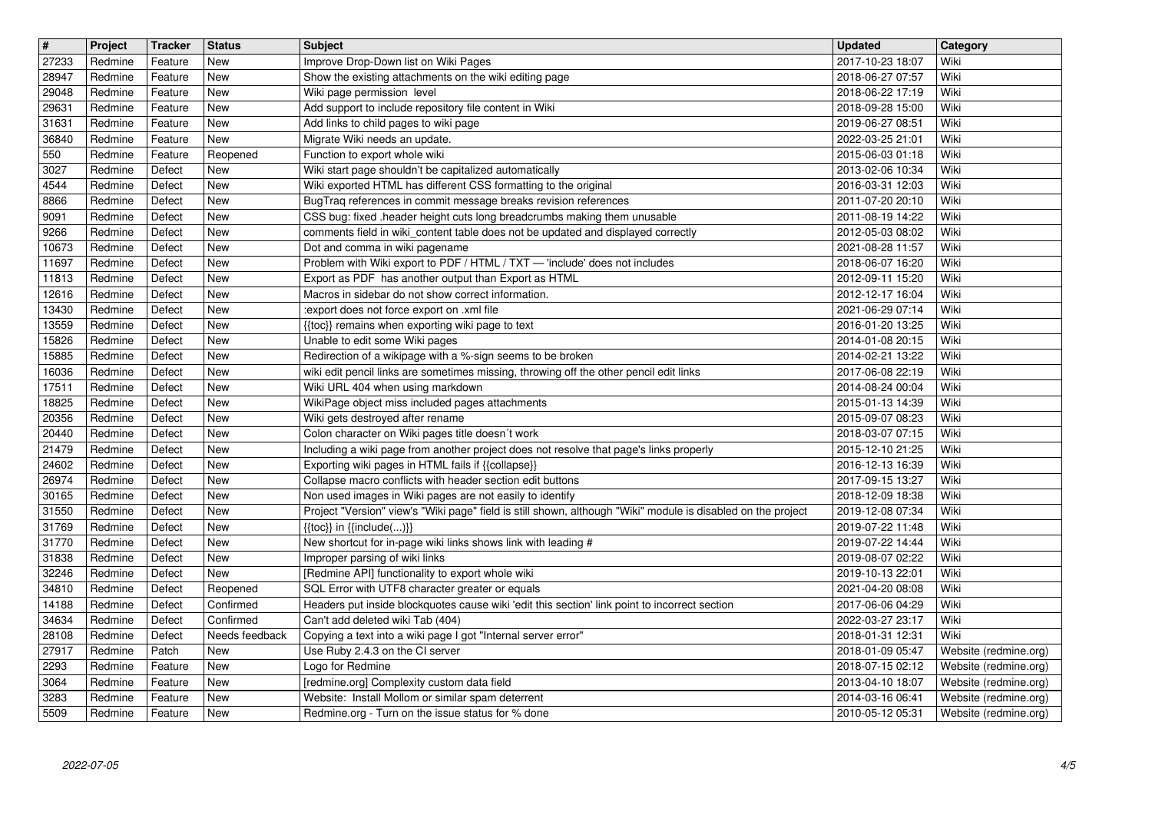| $\overline{\mathbf{t}}$ | Project            | <b>Tracker</b>     | <b>Status</b>            | <b>Subject</b>                                                                                                                                                           | <b>Updated</b>                       | Category                                       |
|-------------------------|--------------------|--------------------|--------------------------|--------------------------------------------------------------------------------------------------------------------------------------------------------------------------|--------------------------------------|------------------------------------------------|
| 27233                   | Redmine            | Feature            | New                      | Improve Drop-Down list on Wiki Pages                                                                                                                                     | 2017-10-23 18:07                     | Wiki                                           |
| 28947<br>29048          | Redmine<br>Redmine | Feature<br>Feature | New<br>New               | Show the existing attachments on the wiki editing page<br>Wiki page permission level                                                                                     | 2018-06-27 07:57<br>2018-06-22 17:19 | Wiki<br>Wiki                                   |
| 29631                   | Redmine            | Feature            | New                      | Add support to include repository file content in Wiki                                                                                                                   | 2018-09-28 15:00                     | Wiki                                           |
| 31631                   | Redmine            | Feature            | New                      | Add links to child pages to wiki page                                                                                                                                    | 2019-06-27 08:51                     | Wiki                                           |
| 36840<br>550            | Redmine<br>Redmine | Feature<br>Feature | New<br>Reopened          | Migrate Wiki needs an update.<br>Function to export whole wiki                                                                                                           | 2022-03-25 21:01<br>2015-06-03 01:18 | Wiki<br>Wiki                                   |
| 3027                    | Redmine            | Defect             | New                      | Wiki start page shouldn't be capitalized automatically                                                                                                                   | 2013-02-06 10:34                     | Wiki                                           |
| 4544                    | Redmine            | Defect             | <b>New</b>               | Wiki exported HTML has different CSS formatting to the original                                                                                                          | 2016-03-31 12:03                     | Wiki                                           |
| 8866<br>9091            | Redmine<br>Redmine | Defect<br>Defect   | <b>New</b><br><b>New</b> | BugTraq references in commit message breaks revision references<br>CSS bug: fixed .header height cuts long breadcrumbs making them unusable                              | 2011-07-20 20:10<br>2011-08-19 14:22 | Wiki<br>Wiki                                   |
| 9266                    | Redmine            | Defect             | New                      | comments field in wiki_content table does not be updated and displayed correctly                                                                                         | 2012-05-03 08:02                     | Wiki                                           |
| 10673                   | Redmine            | Defect             | <b>New</b>               | Dot and comma in wiki pagename                                                                                                                                           | 2021-08-28 11:57                     | Wiki                                           |
| 11697<br>11813          | Redmine<br>Redmine | Defect<br>Defect   | New<br><b>New</b>        | Problem with Wiki export to PDF / HTML / TXT - 'include' does not includes<br>Export as PDF has another output than Export as HTML                                       | 2018-06-07 16:20<br>2012-09-11 15:20 | Wiki<br>Wiki                                   |
| 12616                   | Redmine            | Defect             | <b>New</b>               | Macros in sidebar do not show correct information.                                                                                                                       | 2012-12-17 16:04                     | Wiki                                           |
| 13430                   | Redmine            | Defect             | New                      | :export does not force export on .xml file                                                                                                                               | 2021-06-29 07:14                     | Wiki<br>Wiki                                   |
| 13559<br>15826          | Redmine<br>Redmine | Defect<br>Defect   | New<br>New               | {{toc}} remains when exporting wiki page to text<br>Unable to edit some Wiki pages                                                                                       | 2016-01-20 13:25<br>2014-01-08 20:15 | Wiki                                           |
| 15885                   | Redmine            | Defect             | New                      | Redirection of a wikipage with a %-sign seems to be broken                                                                                                               | 2014-02-21 13:22                     | Wiki                                           |
| 16036<br>17511          | Redmine<br>Redmine | Defect<br>Defect   | New<br><b>New</b>        | wiki edit pencil links are sometimes missing, throwing off the other pencil edit links<br>Wiki URL 404 when using markdown                                               | 2017-06-08 22:19<br>2014-08-24 00:04 | Wiki<br>Wiki                                   |
| 18825                   | Redmine            | Defect             | <b>New</b>               | WikiPage object miss included pages attachments                                                                                                                          | 2015-01-13 14:39                     | Wiki                                           |
| 20356                   | Redmine            | Defect             | <b>New</b>               | Wiki gets destroyed after rename                                                                                                                                         | 2015-09-07 08:23                     | Wiki                                           |
| 20440<br>21479          | Redmine<br>Redmine | Defect<br>Defect   | New<br>New               | Colon character on Wiki pages title doesn't work<br>Including a wiki page from another project does not resolve that page's links properly                               | 2018-03-07 07:15<br>2015-12-10 21:25 | Wiki<br>Wiki                                   |
| 24602                   | Redmine            | Defect             | New                      | Exporting wiki pages in HTML fails if {{collapse}}                                                                                                                       | 2016-12-13 16:39                     | Wiki                                           |
| 26974                   | Redmine            | Defect             | New                      | Collapse macro conflicts with header section edit buttons                                                                                                                | 2017-09-15 13:27                     | Wiki<br>Wiki                                   |
| 30165<br>31550          | Redmine<br>Redmine | Defect<br>Defect   | New<br><b>New</b>        | Non used images in Wiki pages are not easily to identify<br>Project "Version" view's "Wiki page" field is still shown, although "Wiki" module is disabled on the project | 2018-12-09 18:38<br>2019-12-08 07:34 | Wiki                                           |
| 31769                   | Redmine            | Defect             | <b>New</b>               | $\{\{\text{toc}\}\}\$ in $\{\{\text{include}()\}\}$                                                                                                                      | 2019-07-22 11:48                     | Wiki                                           |
| 31770                   | Redmine            | Defect             | <b>New</b>               | New shortcut for in-page wiki links shows link with leading #                                                                                                            | 2019-07-22 14:44                     | Wiki                                           |
| 31838<br>32246          | Redmine<br>Redmine | Defect<br>Defect   | <b>New</b><br><b>New</b> | Improper parsing of wiki links<br>[Redmine API] functionality to export whole wiki                                                                                       | 2019-08-07 02:22<br>2019-10-13 22:01 | Wiki<br>Wiki                                   |
| 34810                   | Redmine            | Defect             | Reopened                 | SQL Error with UTF8 character greater or equals                                                                                                                          | 2021-04-20 08:08                     | Wiki                                           |
| 14188<br>34634          | Redmine<br>Redmine | Defect<br>Defect   | Confirmed<br>Confirmed   | Headers put inside blockquotes cause wiki 'edit this section' link point to incorrect section<br>Can't add deleted wiki Tab (404)                                        | 2017-06-06 04:29<br>2022-03-27 23:17 | Wiki<br>Wiki                                   |
| 28108                   | Redmine            | Defect             | Needs feedback           | Copying a text into a wiki page I got "Internal server error"                                                                                                            | 2018-01-31 12:31                     | Wiki                                           |
| 27917                   | Redmine            | Patch              | New                      | Use Ruby 2.4.3 on the CI server                                                                                                                                          | 2018-01-09 05:47                     | Website (redmine.org)                          |
| 2293<br>3064            | Redmine<br>Redmine | Feature<br>Feature | <b>New</b><br>New        | Logo for Redmine<br>[redmine.org] Complexity custom data field                                                                                                           | 2018-07-15 02:12<br>2013-04-10 18:07 | Website (redmine.org)<br>Website (redmine.org) |
| 3283                    | Redmine            | Feature            | New                      | Website: Install Mollom or similar spam deterrent                                                                                                                        | 2014-03-16 06:41                     | Website (redmine.org)                          |
| 5509                    | Redmine            | Feature            | New                      | Redmine.org - Turn on the issue status for % done                                                                                                                        | 2010-05-12 05:31                     | Website (redmine.org)                          |
|                         |                    |                    |                          |                                                                                                                                                                          |                                      |                                                |
|                         |                    |                    |                          |                                                                                                                                                                          |                                      |                                                |
|                         |                    |                    |                          |                                                                                                                                                                          |                                      |                                                |
|                         |                    |                    |                          |                                                                                                                                                                          |                                      |                                                |
|                         |                    |                    |                          |                                                                                                                                                                          |                                      |                                                |
|                         |                    |                    |                          |                                                                                                                                                                          |                                      |                                                |
|                         |                    |                    |                          |                                                                                                                                                                          |                                      |                                                |
|                         |                    |                    |                          |                                                                                                                                                                          |                                      |                                                |
|                         |                    |                    |                          |                                                                                                                                                                          |                                      |                                                |
|                         |                    |                    |                          |                                                                                                                                                                          |                                      |                                                |
|                         |                    |                    |                          |                                                                                                                                                                          |                                      |                                                |